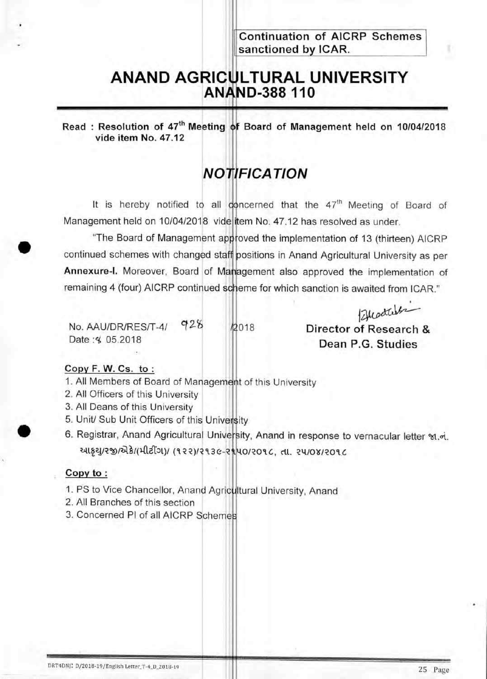**Continuation of AICRP Schemes sanctioned by ICAR.** 

## **ANAND AGRICULTURAL UNIVERSITY ANAND-388 110**

Read : Resolution of 47<sup>th</sup> Meeting of Board of Management held on 10/04/2018 **vide item No. 47.12** 

## **NOTIFICATION**

It is hereby notified to all concerned that the 47<sup>th</sup> Meeting of Board of Management held on 10/04/2018 vide item No. 47.12 has resolved as under.

"The Board of Management approved the implementation of 13 (thirteen) AICRP continued schemes with changed staff positions in Anand Agricultural University as per **Annexure-I.** Moreover, Board of Management also approved the implementation of remaining 4 (four) AICRP continued scheme for which sanction is awaited from ICAR."

Budales No. AAU/DR/RES/T-4/ 928 /2018 **Director of Research &**<br>Date :4 05.2018 **Director Research & Dean P.G. Studies** 

#### Copy F. **W. Cs. to :**

- 1. All Members of Board of Management of this University
- 2. All Officers of this University
- 3. All Deans of this University
- 5. Unit/ Sub Unit Officers of this University
- 6. Registrar, Anand Agricultural University, Anand in response to vernacular letter %1.oi. આકથ/રજી/એકે/(મીટીંગ)/ (૧૨૨)/૨૧૩૯-૨૧.40/૨૦૧૮, તા. ૨૫/૦૪/૨૦૧૮

#### **Copy to :**

•

- 1. PS to Vice Chancellor, Anand Agricultural University, Anand
- 2. All Branches of this section
- 3. Concerned PI of all AICRP Schemes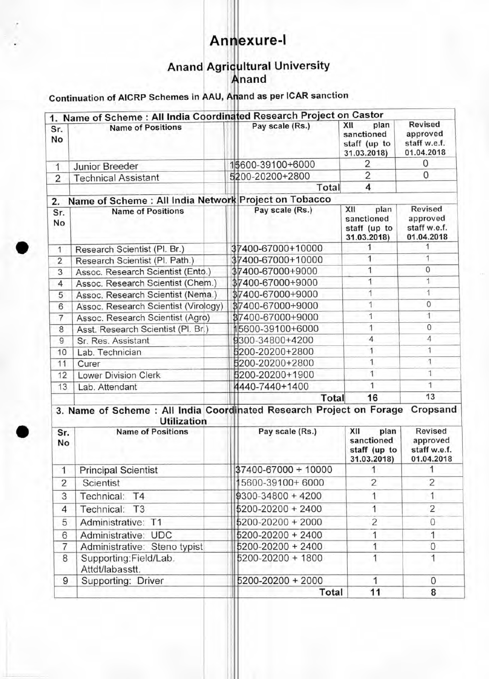# **Annexure-I**

### Anand Agricultural University **nand**

#### Continuation of AICRP Schemes in **AAU Arland as** per ICAR sanction

| 1.             | Name of Scheme: All India Coordinated Research Project on Castor                          |                       |                                                          |                                                          |
|----------------|-------------------------------------------------------------------------------------------|-----------------------|----------------------------------------------------------|----------------------------------------------------------|
| Sr.<br>No      | <b>Name of Positions</b>                                                                  | Pay scale (Rs.)       | XII<br>plan<br>sanctioned<br>staff (up to<br>31.03.2018) | <b>Revised</b><br>approved<br>staff w.e.f.<br>01.04.2018 |
| 1              | <b>Junior Breeder</b>                                                                     | 15600-39100+6000      | 2                                                        | $\mathbf 0$                                              |
| $\overline{2}$ | <b>Technical Assistant</b>                                                                | 5200-20200+2800       | 2                                                        | $\mathbf{0}$                                             |
|                |                                                                                           | Total                 | 4                                                        |                                                          |
| 2.             | Name of Scheme : All India Network Project on Tobacco                                     |                       |                                                          |                                                          |
| Sr.<br>No      | <b>Name of Positions</b>                                                                  | Pay scale (Rs.)       | XII<br>plan<br>sanctioned<br>staff (up to<br>31.03.2018) | <b>Revised</b><br>approved<br>staff w.e.f.<br>01.04.2018 |
| 1              | Research Scientist (Pl. Br.)                                                              | 37400-67000+10000     | 1                                                        | 1                                                        |
| $\overline{2}$ | Research Scientist (Pl. Path.)                                                            | 37400-67000+10000     | 1                                                        | 1                                                        |
| 3              | Assoc. Research Scientist (Ento.)                                                         | 37400-67000+9000      | 1                                                        | $\mathbf 0$                                              |
| 4              | Assoc. Research Scientist (Chem.)                                                         | 37400-67000+9000      | 1                                                        | 1                                                        |
| 5              | Assoc. Research Scientist (Nema.)                                                         | 37400-67000+9000      | 1                                                        | 1                                                        |
| 6              | Assoc. Research Scientist (Virology)                                                      | 37400-67000+9000      | 1                                                        | $\circ$                                                  |
| $\overline{7}$ | Assoc. Research Scientist (Agro)                                                          | 87400-67000+9000      | 1                                                        | $\overline{1}$                                           |
| 8              | Asst. Research Scientist (Pl. Br.)                                                        | 15600-39100+6000      | 1                                                        | 0                                                        |
| 9              | Sr. Res. Assistant                                                                        | 9300-34800+4200       | 4                                                        | 4                                                        |
| 10             | Lab. Technician                                                                           | 5200-20200+2800       | 1                                                        | 1                                                        |
| 11             | Curer                                                                                     | 5200-20200+2800       | 1                                                        | 1                                                        |
| 12             | <b>Lower Division Clerk</b>                                                               | 5200-20200+1900       | 1                                                        | 1                                                        |
| 13             | Lab. Attendant                                                                            | 4440-7440+1400        | $\mathbf{1}$                                             | 1                                                        |
|                |                                                                                           | Total                 | 16                                                       | 13                                                       |
|                | 3. Name of Scheme: All India Coordinated Research Project on Forage<br><b>Utilization</b> |                       |                                                          | Cropsand                                                 |
| Sr.<br>No      | <b>Name of Positions</b>                                                                  | Pay scale (Rs.)       | XII<br>plan<br>sanctioned<br>staff (up to<br>31.03.2018) | Revised<br>approved<br>staff w.e.f.<br>01.04.2018        |
| 1              | <b>Principal Scientist</b>                                                                | 37400-67000 + 10000   | 1                                                        | 1                                                        |
| $\overline{c}$ | Scientist                                                                                 | 5600-39100+6000       | $\overline{2}$                                           | $\overline{2}$                                           |
| 3              | Technical: T4                                                                             | $$300-34800 + 4200$   | 1                                                        | 1                                                        |
| 4              | Technical: T3                                                                             | $5200 - 20200 + 2400$ | 1                                                        | $\overline{2}$                                           |
| 5              | Administrative: T1                                                                        | $5200 - 20200 + 2000$ | $\overline{2}$                                           | 0                                                        |
| 6              | Administrative: UDC                                                                       | 5200-20200 + 2400     | 1                                                        | 1                                                        |
| $\overline{7}$ | Administrative: Steno typist                                                              | 5200-20200 + 2400     | 1                                                        | 0                                                        |
| 8              | Supporting:Field/Lab.<br>Attdt/labasstt.                                                  | 5200-20200 + 1800     |                                                          | 1                                                        |
| 9              | Supporting: Driver                                                                        | 5200-20200 + 2000     | 1                                                        | $\mathbf{O}$                                             |
|                |                                                                                           | Total                 | 11                                                       | 8                                                        |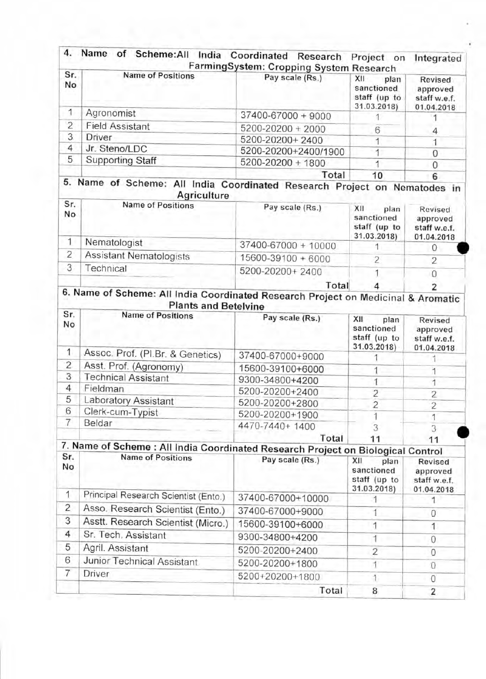| Sr.<br>No      | <b>Name of Positions</b>                                                                                         | FarmingSystem: Cropping System Research<br>Pay scale (Rs.) | XII<br>plan<br>sanctioned<br>staff (up to<br>31.03.2018) | Revised<br>approved<br>staff w.e.f.<br>01.04.2018 |
|----------------|------------------------------------------------------------------------------------------------------------------|------------------------------------------------------------|----------------------------------------------------------|---------------------------------------------------|
| 1              | Agronomist                                                                                                       | 37400-67000 + 9000                                         |                                                          |                                                   |
| $\overline{2}$ | <b>Field Assistant</b>                                                                                           | 5200-20200 + 2000                                          | 6                                                        | 4                                                 |
| 3              | <b>Driver</b>                                                                                                    | 5200-20200+2400                                            | 1                                                        | 1                                                 |
| $\overline{4}$ | Jr. Steno/LDC                                                                                                    | 5200-20200+2400/1900                                       | 1                                                        | 0                                                 |
| 5              | <b>Supporting Staff</b>                                                                                          | 5200-20200 + 1800                                          | 1                                                        | 0                                                 |
|                |                                                                                                                  | Total                                                      | 10                                                       | 6                                                 |
|                | 5. Name of Scheme: All India Coordinated Research Project on Nematodes in<br>Agriculture                         |                                                            |                                                          |                                                   |
| Sr.<br>No      | <b>Name of Positions</b>                                                                                         | Pay scale (Rs.)                                            | XII<br>plan<br>sanctioned<br>staff (up to<br>31.03.2018) | Revised<br>approved<br>staff w.e.f.<br>01.04.2018 |
| 1              | Nematologist                                                                                                     | 37400-67000 + 10000                                        | 1                                                        | 0                                                 |
| $\overline{2}$ | Assistant Nematologists                                                                                          | 15600-39100 + 6000                                         | $\overline{2}$                                           | $\overline{2}$                                    |
| 3              | Technical                                                                                                        | 5200-20200+2400                                            |                                                          | 0                                                 |
|                |                                                                                                                  | Total                                                      | 4                                                        | 2                                                 |
|                | 6. Name of Scheme: All India Coordinated Research Project on Medicinal & Aromatic<br><b>Plants and Betelvine</b> |                                                            |                                                          |                                                   |
| Sr.<br>No      | <b>Name of Positions</b>                                                                                         | Pay scale (Rs.)                                            | XII<br>plan<br>sanctioned<br>staff (up to<br>31.03.2018) | Revised<br>approved<br>staff w.e.f.<br>01.04.2018 |
| 1              | Assoc. Prof. (PI.Br. & Genetics)                                                                                 | 37400-67000+9000                                           |                                                          |                                                   |
| $\overline{c}$ | Asst. Prof. (Agronomy)                                                                                           | 15600-39100+6000                                           | 1                                                        | 1                                                 |
| 3              | <b>Technical Assistant</b>                                                                                       | 9300-34800+4200                                            | 1                                                        | 1                                                 |
| $\overline{4}$ | Fieldman                                                                                                         | 5200-20200+2400                                            | 2                                                        | $\overline{c}$                                    |
| 5              | Laboratory Assistant                                                                                             | 5200-20200+2800                                            | $\overline{2}$                                           | $\overline{c}$                                    |
| 6              | Clerk-cum-Typist                                                                                                 | 5200-20200+1900                                            |                                                          | 1                                                 |
| 7              | Beldar                                                                                                           | 4470-7440+1400                                             |                                                          | 3                                                 |
|                | 7. Name of Scheme: All India Coordinated Research Project on Biological Control                                  | Total                                                      | 11                                                       | 11                                                |
| Sr.            | <b>Name of Positions</b>                                                                                         | Pay scale (Rs.)                                            | XII<br>plan                                              | <b>Revised</b>                                    |
| No             |                                                                                                                  |                                                            | sanctioned<br>staff (up to<br>31.03.2018)                | approved<br>staff w.e.f.<br>01.04.2018            |
| 1              | Principal Research Scientist (Ento.)                                                                             | 37400-67000+10000                                          |                                                          | 1                                                 |
| 2              | Asso. Research Scientist (Ento.)                                                                                 | 37400-67000+9000                                           | 1                                                        | 0                                                 |
| 3              | Asstt. Research Scientist (Micro.)                                                                               | 15600-39100+6000                                           | 1                                                        | 1                                                 |
| 4              | Sr. Tech. Assistant                                                                                              | 9300-34800+4200                                            | 1                                                        | 0                                                 |
| 5              | Agril. Assistant                                                                                                 | 5200-20200+2400                                            | $\overline{2}$                                           | 0                                                 |
|                |                                                                                                                  |                                                            |                                                          |                                                   |
| 6              | Junior Technical Assistant                                                                                       |                                                            |                                                          |                                                   |
| 7              | Driver                                                                                                           | 5200-20200+1800<br>5200+20200+1800                         | 1                                                        | $\Omega$<br>$\alpha$                              |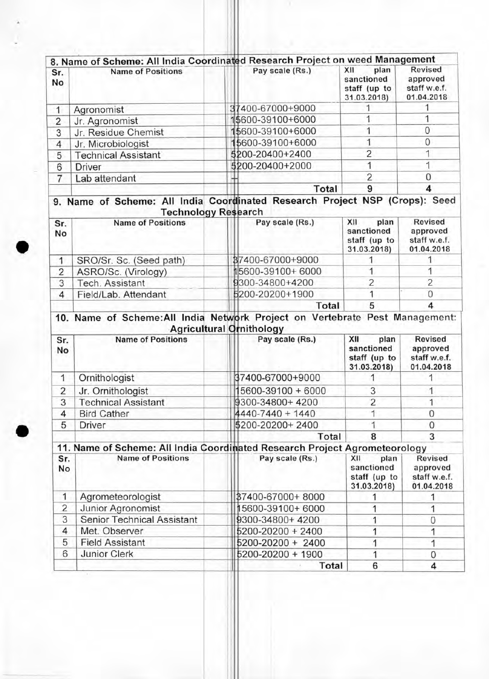|                | 8. Name of Scheme: All India Coordinated Research Project on weed Management                                                          |                                          |                                                          |                                                                                 |
|----------------|---------------------------------------------------------------------------------------------------------------------------------------|------------------------------------------|----------------------------------------------------------|---------------------------------------------------------------------------------|
| Sr.<br>No      | <b>Name of Positions</b>                                                                                                              | Pay scale (Rs.)                          | XII<br>plan<br>sanctioned<br>staff (up to<br>31.03.2018) | <b>Revised</b><br>approved<br>staff w.e.f.<br>01.04.2018                        |
| 1              | Agronomist                                                                                                                            | 37400-67000+9000                         |                                                          |                                                                                 |
| $\overline{2}$ | Jr. Agronomist                                                                                                                        | 15600-39100+6000                         |                                                          | 1                                                                               |
| 3              | Jr. Residue Chemist                                                                                                                   | 15600-39100+6000                         | 1                                                        | 0                                                                               |
| 4              | Jr. Microbiologist                                                                                                                    | 15600-39100+6000                         | 1                                                        | 0                                                                               |
| 5              | <b>Technical Assistant</b>                                                                                                            | 5200-20400+2400                          | $\overline{c}$                                           | 1                                                                               |
| 6              | <b>Driver</b>                                                                                                                         | 5200-20400+2000                          | 1                                                        | 1                                                                               |
| 7              | Lab attendant                                                                                                                         |                                          | $\overline{2}$                                           | 0                                                                               |
|                |                                                                                                                                       | Total                                    | 9                                                        | 4                                                                               |
| Sr.            | 9. Name of Scheme: All India Coordinated Research Project NSP (Crops): Seed<br><b>Technology Research</b><br><b>Name of Positions</b> | Pay scale (Rs.)                          | XII<br>plan                                              | Revised                                                                         |
| No             |                                                                                                                                       |                                          | sanctioned<br>staff (up to<br>31.03.2018)                | approved<br>staff w.e.f.<br>01.04.2018                                          |
| 1              | SRO/Sr. Sc. (Seed path)                                                                                                               | 37400-67000+9000                         |                                                          | 1                                                                               |
| $\overline{2}$ | ASRO/Sc. (Virology)                                                                                                                   | 15600-39100+6000                         |                                                          | 1                                                                               |
|                |                                                                                                                                       | 9300-34800+4200                          | $\overline{2}$                                           | $\overline{2}$                                                                  |
| 3              | Tech. Assistant                                                                                                                       |                                          |                                                          |                                                                                 |
| $\overline{4}$ | Field/Lab. Attendant                                                                                                                  | 5200-20200+1900                          | 1                                                        | $\mathbf{0}$                                                                    |
|                | 10. Name of Scheme: All India Network Project on Vertebrate Pest Management:                                                          | Total<br><b>Agricultural Ornithology</b> | 5                                                        | $\overline{4}$                                                                  |
| Sr.<br>No      | <b>Name of Positions</b>                                                                                                              | Pay scale (Rs.)                          | XII<br>plan<br>sanctioned<br>staff (up to                | <b>Revised</b><br>approved                                                      |
| 1              | Ornithologist                                                                                                                         | 37400-67000+9000                         | 31.03.2018)                                              |                                                                                 |
|                |                                                                                                                                       |                                          |                                                          | 1                                                                               |
| 2              | Jr. Ornithologist                                                                                                                     | 5600-39100 + 6000                        | 3                                                        | 1                                                                               |
| 3<br>4         | <b>Technical Assistant</b>                                                                                                            | 9300-34800+4200<br>4440-7440 + 1440      | $\overline{2}$<br>1                                      | $\Omega$                                                                        |
| 5              | <b>Bird Cather</b>                                                                                                                    |                                          | 1                                                        | 0                                                                               |
|                | Driver                                                                                                                                | \$200-20200+2400<br>Total                | 8                                                        | 3                                                                               |
|                | 11. Name of Scheme: All India Coordinated Research Project Agrometeorology                                                            |                                          |                                                          |                                                                                 |
| Sr.<br>No      | <b>Name of Positions</b>                                                                                                              | Pay scale (Rs.)                          | XII<br>plan<br>sanctioned<br>staff (up to<br>31.03.2018) | staff w.e.f.<br>01.04.2018<br>Revised<br>approved<br>staff w.e.f.<br>01.04.2018 |
| 1              | Agrometeorologist                                                                                                                     | 87400-67000+8000                         | 1                                                        | 1                                                                               |
| $\overline{2}$ | Junior Agronomist                                                                                                                     | 15600-39100+6000                         | 1                                                        | 1                                                                               |
| 3              | <b>Senior Technical Assistant</b>                                                                                                     | 9300-34800+4200                          | 1                                                        | 0                                                                               |
| 4              | Met. Observer                                                                                                                         | 5200-20200 + 2400                        | 1                                                        | 1                                                                               |
| 5              | <b>Field Assistant</b>                                                                                                                | 5200-20200 + 2400                        | 1                                                        | 1                                                                               |
| 6              | <b>Junior Clerk</b>                                                                                                                   | 5200-20200 + 1900                        | 1                                                        | 0                                                                               |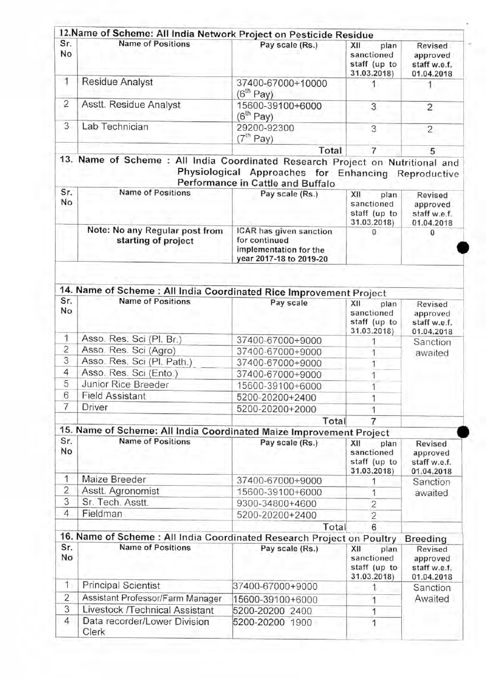| Sr.            | 12. Name of Scheme: All India Network Project on Pesticide Residue<br><b>Name of Positions</b> | Pay scale (Rs.)                                                                               | XII<br>plan                                              | <b>Revised</b>                                           |  |
|----------------|------------------------------------------------------------------------------------------------|-----------------------------------------------------------------------------------------------|----------------------------------------------------------|----------------------------------------------------------|--|
| No             |                                                                                                |                                                                                               | sanctioned<br>staff (up to<br>31.03.2018)                | approved<br>staff w.e.f.<br>01.04.2018                   |  |
| 1              | <b>Residue Analyst</b>                                                                         | 37400-67000+10000<br>(6 <sup>th</sup> Pay)                                                    | 1                                                        |                                                          |  |
| $\overline{c}$ | Asstt. Residue Analyst                                                                         | 15600-39100+6000<br>(6 <sup>th</sup> Pay)                                                     | 3                                                        | $\overline{2}$                                           |  |
| 3              | Lab Technician                                                                                 | 29200-92300<br>(7 <sup>th</sup> Pay)                                                          | 3                                                        | $\overline{c}$                                           |  |
|                |                                                                                                | Total                                                                                         | 7                                                        | 5                                                        |  |
|                | 13. Name of Scheme : All India Coordinated Research Project on Nutritional and                 | Physiological Approaches for Enhancing Reproductive<br>Performance in Cattle and Buffalo      |                                                          |                                                          |  |
| Sr.<br>No      | <b>Name of Positions</b>                                                                       | Pay scale (Rs.)                                                                               | XII<br>plan<br>sanctioned<br>staff (up to<br>31.03.2018) | Revised<br>approved<br>staff w.e.f.<br>01.04.2018        |  |
|                | Note: No any Regular post from<br>starting of project                                          | ICAR has given sanction<br>for continued<br>implementation for the<br>year 2017-18 to 2019-20 | 0                                                        | o                                                        |  |
|                |                                                                                                |                                                                                               |                                                          |                                                          |  |
|                | 14. Name of Scheme: All India Coordinated Rice Improvement Project                             |                                                                                               |                                                          |                                                          |  |
| Sr.<br>No      | <b>Name of Positions</b>                                                                       | Pay scale                                                                                     | XII<br>plan<br>sanctioned<br>staff (up to<br>31.03.2018) | Revised<br>approved<br>staff w.e.f.<br>01.04.2018        |  |
| 1              | Asso. Res. Sci (Pl. Br.)                                                                       | 37400-67000+9000                                                                              |                                                          | Sanction                                                 |  |
| 2              | Asso. Res. Sci (Agro)                                                                          | 37400-67000+9000                                                                              |                                                          | awaited                                                  |  |
| 3              | Asso. Res. Sci (Pl. Path.)                                                                     | 37400-67000+9000                                                                              |                                                          |                                                          |  |
| 4              | Asso. Res. Sci (Ento.)                                                                         | 37400-67000+9000                                                                              |                                                          |                                                          |  |
| 5              | Junior Rice Breeder                                                                            | 15600-39100+6000                                                                              |                                                          |                                                          |  |
| 6              | <b>Field Assistant</b>                                                                         | 5200-20200+2400                                                                               | 1                                                        |                                                          |  |
| 7              | Driver                                                                                         | 5200-20200+2000                                                                               |                                                          |                                                          |  |
|                |                                                                                                | Total                                                                                         | 7                                                        |                                                          |  |
|                | 15. Name of Scheme: All India Coordinated Maize Improvement Project                            |                                                                                               |                                                          |                                                          |  |
| Sr.<br>No      | <b>Name of Positions</b>                                                                       | Pay scale (Rs.)                                                                               | XII<br>plan<br>sanctioned<br>staff (up to<br>31.03.2018) | <b>Revised</b><br>approved<br>staff w.e.f.<br>01.04.2018 |  |
| 1              | Maize Breeder                                                                                  | 37400-67000+9000                                                                              |                                                          | Sanction                                                 |  |
| 2              | Asstt. Agronomist                                                                              | 15600-39100+6000                                                                              | 1                                                        | awaited                                                  |  |
| 3              | Sr. Tech. Asstt.                                                                               | 9300-34800+4600                                                                               | $\overline{c}$                                           |                                                          |  |
| $\overline{4}$ | Fieldman                                                                                       | 5200-20200+2400                                                                               | $\overline{2}$                                           |                                                          |  |
|                |                                                                                                | Total                                                                                         | 6                                                        |                                                          |  |
|                | 16. Name of Scheme: All India Coordinated Research Project on Poultry                          |                                                                                               |                                                          | Breeding                                                 |  |
| Sr.<br>No      | <b>Name of Positions</b>                                                                       | Pay scale (Rs.)                                                                               | XII<br>plan<br>sanctioned<br>staff (up to<br>31.03.2018) | Revised<br>approved<br>staff w.e.f.<br>01.04.2018        |  |
| 1              | <b>Principal Scientist</b>                                                                     | 37400-67000+9000                                                                              | 1                                                        | Sanction                                                 |  |
| $\overline{2}$ | Assistant Professor/Farm Manager                                                               | 15600-39100+6000                                                                              | 1                                                        | Awaited                                                  |  |
| 3              | Livestock /Technical Assistant                                                                 | 5200-20200 2400                                                                               | 1                                                        |                                                          |  |
|                |                                                                                                |                                                                                               |                                                          |                                                          |  |